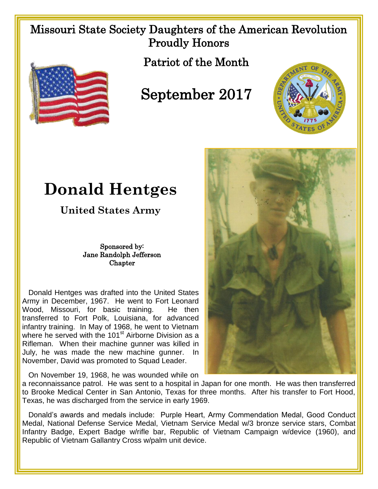## Missouri State Society Daughters of the American Revolution Proudly Honors





## September 2017



## **Donald Hentges**

**United States Army**

Sponsored by: Jane Randolph Jefferson **Chapter** 

 Donald Hentges was drafted into the United States Army in December, 1967. He went to Fort Leonard Wood, Missouri, for basic training. He then transferred to Fort Polk, Louisiana, for advanced infantry training. In May of 1968, he went to Vietnam where he served with the 101<sup>st</sup> Airborne Division as a Rifleman. When their machine gunner was killed in July, he was made the new machine gunner. In November, David was promoted to Squad Leader.

On November 19, 1968, he was wounded while on

a reconnaissance patrol. He was sent to a hospital in Japan for one month. He was then transferred to Brooke Medical Center in San Antonio, Texas for three months. After his transfer to Fort Hood, Texas, he was discharged from the service in early 1969.

 Donald's awards and medals include: Purple Heart, Army Commendation Medal, Good Conduct Medal, National Defense Service Medal, Vietnam Service Medal w/3 bronze service stars, Combat Infantry Badge, Expert Badge w/rifle bar, Republic of Vietnam Campaign w/device (1960), and Republic of Vietnam Gallantry Cross w/palm unit device.